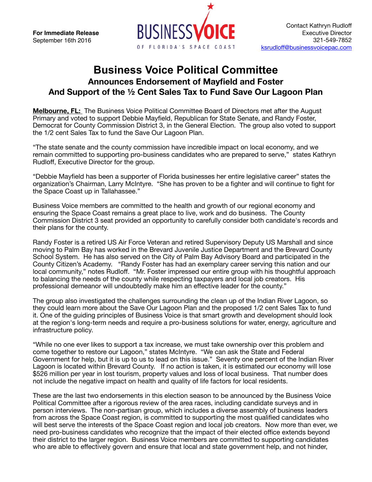**For Immediate Release**  September 16th 2016



## **Business Voice Political Committee Announces Endorsement of Mayfield and Foster And Support of the ½ Cent Sales Tax to Fund Save Our Lagoon Plan**

**Melbourne, FL:** The Business Voice Political Committee Board of Directors met after the August Primary and voted to support Debbie Mayfield, Republican for State Senate, and Randy Foster, Democrat for County Commission District 3, in the General Election. The group also voted to support the 1/2 cent Sales Tax to fund the Save Our Lagoon Plan.

"The state senate and the county commission have incredible impact on local economy, and we remain committed to supporting pro-business candidates who are prepared to serve," states Kathryn Rudloff, Executive Director for the group.

"Debbie Mayfield has been a supporter of Florida businesses her entire legislative career" states the organization's Chairman, Larry McIntyre. "She has proven to be a fighter and will continue to fight for the Space Coast up in Tallahassee."

Business Voice members are committed to the health and growth of our regional economy and ensuring the Space Coast remains a great place to live, work and do business. The County Commission District 3 seat provided an opportunity to carefully consider both candidate's records and their plans for the county.

Randy Foster is a retired US Air Force Veteran and retired Supervisory Deputy US Marshall and since moving to Palm Bay has worked in the Brevard Juvenile Justice Department and the Brevard County School System. He has also served on the City of Palm Bay Advisory Board and participated in the County Citizen's Academy. "Randy Foster has had an exemplary career serving this nation and our local community," notes Rudloff. "Mr. Foster impressed our entire group with his thoughtful approach to balancing the needs of the county while respecting taxpayers and local job creators. His professional demeanor will undoubtedly make him an effective leader for the county."

The group also investigated the challenges surrounding the clean up of the Indian River Lagoon, so they could learn more about the Save Our Lagoon Plan and the proposed 1/2 cent Sales Tax to fund it. One of the guiding principles of Business Voice is that smart growth and development should look at the region's long-term needs and require a pro-business solutions for water, energy, agriculture and infrastructure policy.

"While no one ever likes to support a tax increase, we must take ownership over this problem and come together to restore our Lagoon," states McIntyre. "We can ask the State and Federal Government for help, but it is up to us to lead on this issue." Seventy one percent of the Indian River Lagoon is located within Brevard County. If no action is taken, it is estimated our economy will lose \$526 million per year in lost tourism, property values and loss of local business. That number does not include the negative impact on health and quality of life factors for local residents.

These are the last two endorsements in this election season to be announced by the Business Voice Political Committee after a rigorous review of the area races, including candidate surveys and in person interviews. The non-partisan group, which includes a diverse assembly of business leaders from across the Space Coast region, is committed to supporting the most qualified candidates who will best serve the interests of the Space Coast region and local job creators. Now more than ever, we need pro-business candidates who recognize that the impact of their elected office extends beyond their district to the larger region. Business Voice members are committed to supporting candidates who are able to effectively govern and ensure that local and state government help, and not hinder,